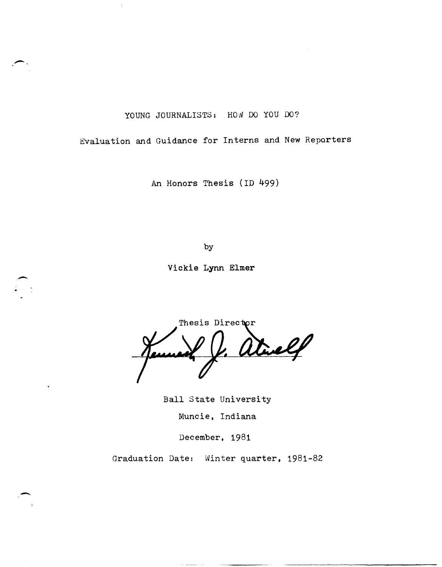YOUNG JOURNALISTS: HOW DO YOU DO?

Evaluation and Guidance for Interns and New Reporters

An Honors Thesis (ID 499)

by

Vickie **Lynn** Elmer

-

-

Thesis Director atuelf

Ball State University Muncie, Indiana

December, 1981

Graduation Date: Winter quarter, 1981-82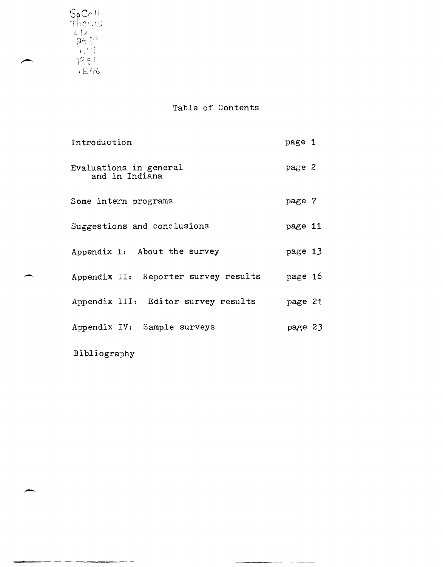L L.l *r);'* '" ,,~ r; **'i .**   $1 \cdot 1 \cdot 0 \cdot 1$  .

-

Table of Contents

| Introduction                             | page 1  |
|------------------------------------------|---------|
| Evaluations in general<br>and in Indiana | page 2  |
| Some intern programs                     | page 7  |
| Suggestions and conclusions              | page 11 |
| Appendix I: About the survey             | page 13 |
| Appendix II: Reporter survey results     | page 16 |
| Appendix III: Editor survey results      | page 21 |
| Appendix IV: Sample surveys              | page 23 |
| Bibliography                             |         |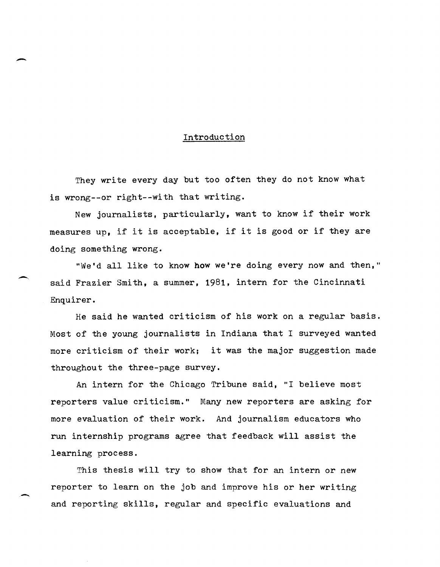#### Introduction

-

They write every day but too often they do not know what is wrong--or right--with that writing.

New journalists, particularly, want to know if their work measures up, if it is acceptable, if it is good or if they are doing something wrong.

"We'd all like to know how we're doing every now and then," said Frazier Smith, a summer, 1981, intern for the Cincinnati Enquirer.

He said he wanted criticism of his work on a regular basis. Most of the young journalists in Indiana that I surveyed wanted more criticism of their work; it was the major suggestion made throughout the three-page survey.

An intern for the Chicago Tribune said, "I believe most reporters value criticism." Many new reporters are asking for more evaluation of their work. And journalism educators who run internship programs agree that feedback will assist the learning process.

This thesis will try to show that for an intern or new reporter to learn on the job and improve his or her writing and reporting skills, regular and specific evaluations and

------- -~-~----~~--~----- --~~------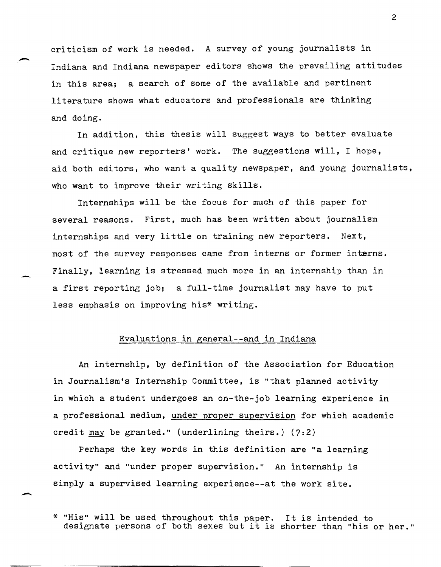criticism of work is needed. A survey of young journalists in Indiana and Indiana newspaper editors shows the prevailing attitudes in this area; a search of some of the available and pertinent literature shows what educators and professionals are thinking and doing.

-

-

-

In addition, this thesis will suggest ways to better evaluate and critique new reporters' work. The suggestions will, I hope, aid both editors, who want a quality newspaper, and young journalists, who want to improve their writing skills.

Internships will be the focus for much of this paper for several reasons. First, much has been written about journalism internships and very little on training new reporters. Next, most of the survey responses came from interns or former interns. Finally, learning is stressed much more in an internship than in a first reporting job; a full-time journalist may have to put less emphasis on improving his\* writing.

## Evaluations in general--and in Indiana

An internship, by definition of the Association for Education in Journalism's Internship Committee, is "that planned activity in which a student undergoes an on-the-job learning experience in a professional medium, under proper supervision for which academic credit may be granted." (underlining theirs.) (7:2)

Perhaps the key words in this definition are "a learning activity" and "under proper supervision." An internship is simply a supervised learning experience--at the work site.

<sup>\* &</sup>quot;His" will be used throughout this paper. It is intended to designate persons of both sexes but it is shorter than "his or her."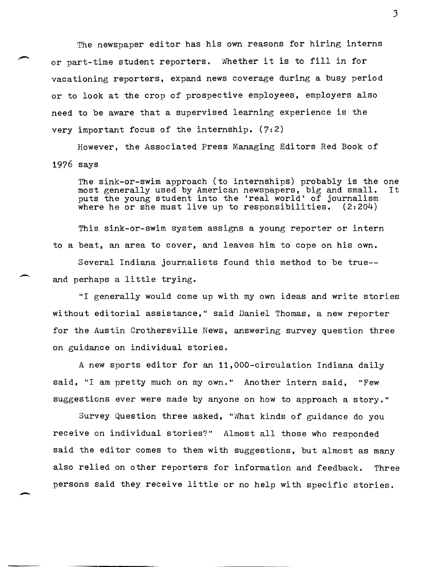The newspaper editor has his own reasons for hiring interns or part-time student reporters. Whether it is to fill in for vacationing reporters, expand news coverage during a busy period or to look at the crop of prospective employees, employers also need to be aware that a supervised learning experience is the very important focus of the internship.  $(7:2)$ 

However. the Associated Press Managing Editors Red Book of 1976 says

The sink-or-swim approach (to internships) probably is the one most generally used by American newspapers. big and small. It most generally used by American newspapers, big and small. puts the young student into the 'real world' of journalism where he or she must live up to responsibilities.  $(2:204)$ 

This sink-or-swim system assigns a young reporter or intern to a beat, an area to cover, and leaves him to cope on his own. Several Indiana journalists found this method to be true- and perhaps a little trying.

"I generally would come up with my own ideas and write stories without editorial assistance," said Daniel Thomas, a new reporter for the Austin Crothersville News, answering survey question three on guidance on individual stories.

A new sports editor for an 11,000-circulation Indiana daily said, "I am pretty much on my own." Another intern said, "Few suggestions ever were made by anyone on how to approach a story."

Survey Question three asked, "What kinds of guidance do you receive on individual stories?" Almost all those who responded said the editor comes to them with suggestions, but almost as many also relied on other reporters for information and feedback. Three persons said they receive little or no help with specific stories.

-

---------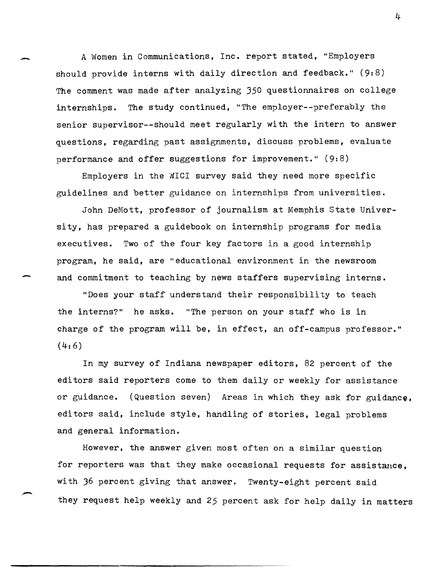A Women in Communications, Inc. report stated, "Employers should provide interns with daily direction and feedback." (9:8) The comment was made after analyzing 350 questionnaires on college internships. The study continued, "The employer--preferably the senior supervisor--should meet regularly with the intern to answer questions, regarding past assignments, discuss problems, evaluate performance and offer suggestions for improvement." (9:8)

-

-

,-

Employers in the WICI survey said they need more specific guidelines and better guidance on internships from universities.

John DeMott, professor of journalism at Memphis State University, has prepared a guidebook on internship programs for media executives. Two of the four key factors in a good internship program, he said, are "educational environment in the newsroom and commitment to teaching by news staffers supervising interns.

"Does your staff understand their responsibility to teach the interns?" he asks. "The person on your staff who is in charge of the program will be, in effect, an off-campus professor."  $(4:6)$ 

In my survey of Indiana newspaper editors, 82 percent of the editors said reporters come to them daily or weekly for assistance or guidance. (Question seven) Areas in which they ask for guidance, editors said, include style, handling of stories, legal problems and general information.

However, the answer given most often on a similar question for reporters was that they make occasional requests for assistance, with 36 percent giving that answer. Twenty-eight percent said they request help weekly and 25 percent ask for help daily in matters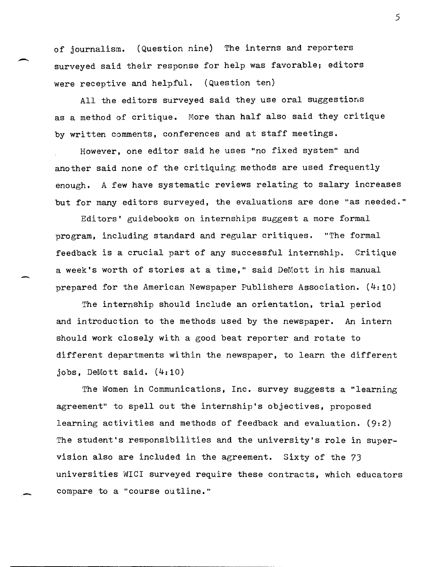of journalism. (Question nine) The interns and reporters surveyed said their response for help was favorable; editors were receptive and helpful. (Question ten)

 $\overline{\phantom{0}}$ 

-

-

All the editors surveyed said they use oral suggestions as a method of critique. More than half also said they critique by written comments, conferences and at staff meetings.

However, one editor said he uses "no fixed system" and another said none of the critiquing: methods are used frequently enough. A few have systematic reviews relating to salary increases but for many editors surveyed, the evaluations are done "as needed."

Editors' guidebooks on internships suggest a more formal program, including standard and regular critiques. "The formal feedback is a crucial part of any successful internship. Critique a week's worth of stories at a time," said DeMott in his manual prepared for the American Newspaper Publishers Association. (4:10)

The internship should include an orientation, trial period and introduction to the methods used by the newspaper. An intern should work closely with a good beat reporter and rotate to different departments within the newspaper, to learn the different jobs, DeMott said. (4:10)

The Women in Communications, Inc. survey suggests a "learning agreement" to spell out the internship's objectives, proposed learning activities and methods of feedback and evaluation. (9:2) The student's responsibilities and the university's role in supervision also are included in the agreement. Sixty of the 73 universities WICI surveyed require these contracts, which educators compare to a "course outline."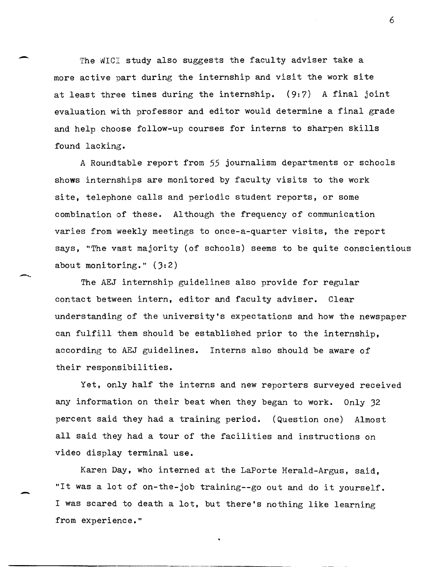The WICI study also suggests the faculty adviser take a more active part during the internship and visit the work site at least three times during the internship.  $(9: 7)$  A final joint evaluation with professor and editor would determine a final grade and help choose follow-up courses for interns to sharpen skills found lacking.

-

-...

-

A Roundtable report from 55 journalism departments or schools shows internships are monitored by faculty visits to the work site, telephone calls and periodic student reports, or some combination of these. Although the frequency of communication varies from weekly meetings to once-a-quarter visits, the report says, "The vast majority (of schools) seems to be quite conscientious about monitoring." (3:2)

The AEJ internship guidelines also provide for regular contact between intern, editor and faculty adviser. Clear understanding of the university's expectations and how the newspaper can fulfill them should be established prior to the internship, according to AEJ guidelines. Interns also should be aware of their responsibilities.

Yet, only half the interns and new reporters surveyed received any information on their beat when they began to work. Only 32 percent said they had a training period. (Question one) Almost all said they had a tour of the facilities and instructions on video display terminal use.

Karen Day, who interned at the LaPorte Herald-Argus, said, "It was a lot of on-the-job training--go out and do it yourself. I was scared to death a lot, but there's nothing like learning from experience."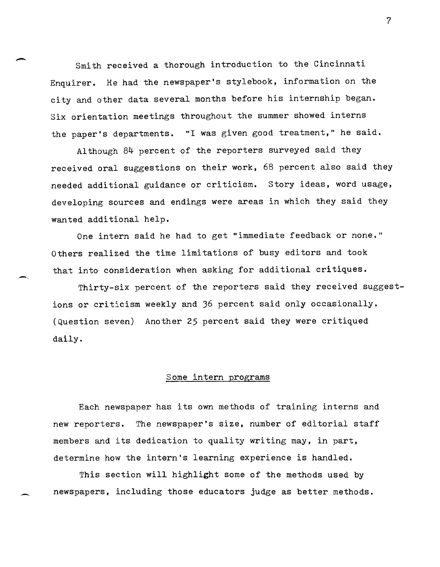Smith received a thorough introduction to the Cincinnati Enquirer. He had the newspaper's stylebook, information on the city and other data several months before his internship began. Six orientation meetings throughout the summer showed interns the paper's departments. "I was given good treatment," he said.

Although. 84 percent of the reporters surveyed said they received oral suggestions on their work, 68 percent also said they needed additional guidance or criticism. Story ideas, word usage, developing sources and endings were areas in which they said they wanted additional help.

One intern said he had to get "immediate feedback or none." Others realized the time limitations of busy editors and took that into consideration when asking for additional critiques.

Thirty-six percent of the reporters said they received suggestions or criticism weekly and 36 percent said only occasionally. (Question seven) Another 25 percent said they were critiqued daily.

#### Some intern programs

Each newspaper has its own methods of training interns and new reporters. The newspaper's size, number of editorial staff members and its dedication to quality writing may, in part, determine how the intern's learning experience is handled.

This section will highlight some of the methods used by newspapers, including those educators judge as better methods.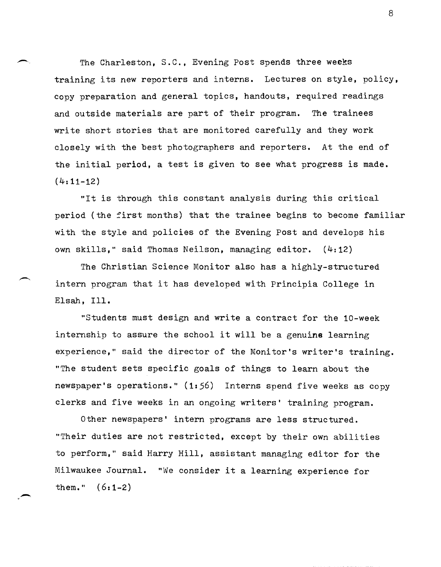The Charleston, S.C., Evening Post spends three weeks training its new reporters and interns. Lectures on style, policy, copy preparation and general topics, handouts, required readings and outside materials are part of their program. The trainees write short stories that are monitored carefully and they work closely with the best photographers and reporters. At the end of the initial period, a test is given to see what progress is made.  $(4:11-12)$ 

 $\overline{\phantom{0}}$ 

-,

"It is through this constant analysis during this critical period (the first months) that the trainee begins to become familiar with the style and policies of the Evening Post and develops his own skills," said Thomas Neilson, managing editor. (4:12)

The Christian Science Monitor also has a highly-structured intern program that it has developed with Principia College in Elsah, Ill.

"Students must design and write a contract for the 10-week internship to assure the school it will be a genuine learning eXperience," said the director of the Monitor's writer's training. "The student sets specific goals of things to learn about the newspaper's operations." (1:56) Interns spend five weeks as copy clerks and five weeks in an ongoing writers' training program.

Other newspapers' intern programs are less structured. "Their duties are not restricted, except by their own abilities to perform," said Harry Hill, assistant managing editor for the Milwaukee Journal. "We consider it a learning experience for them."  $(6:1-2)$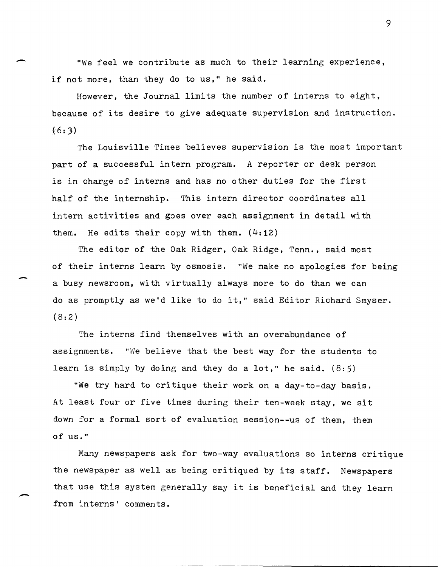"We feel we contribute as much to their learning experience, if not more, than they do to us," he said.

 $\overline{\phantom{0}}$ 

-

However, the Journal limits the number of interns to eight, because of its desire to give adequate supervision and instruction.  $(6:3)$ 

The Louisville Times believes supervision is the most important part of a successful intern program. A reporter or desk person is in charge of interns and has no other duties for the first half of the internship. This intern director coordinates all intern activities and goes over each assignment in detail with them. He edits their copy with them.  $(4:12)$ 

The editor of the Oak Ridger, Oak Ridge, Tenn., said most of their interns learn by osmosis. "We make no apologies for being a busy newsrcom, with virtually always more to do than we can do as promptly as we'd like to do it," said Editor Richard Smyser.  $(8:2)$ 

The interns find themselves with an overabundance of assignments. "We believe that the best way for the students to learn is simply by doing and they do a lot," he said.  $(8:5)$ 

"We try hard to critique their work on a day-to-day basis. At least four or five times during their ten-week stay, we sit down for a formal sort of evaluation session--us of them, them of us."

Many newspapers ask for two-way evaluations so interns critique the newspaper as well as being critiqued by its staff. Newspapers that use this system generally say it is beneficial and they learn from interns' comments.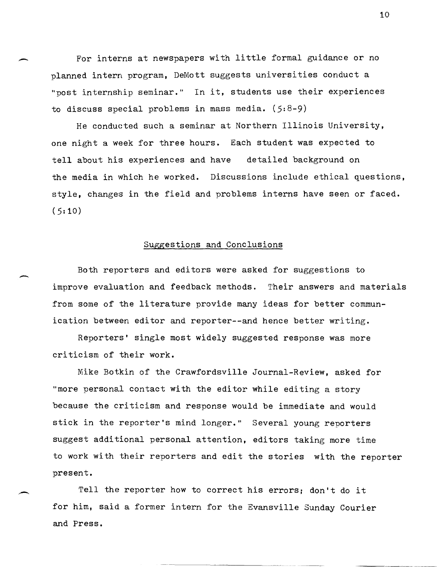For interns at newspapers with little formal guidance or no planned intern program, DeMott suggests universities conduct a "post internship seminar." In it, students use their experiences to discuss special problems in mass media.  $(5.8-9)$ 

-

 $\overline{\phantom{0}}$ 

He conducted such a seminar at Northern Illinois University, one night a week for three hours. Each student was expected to tell about his experiences and have detailed background on the media in which he worked. Discussions include ethical questions, style, changes in the field and problems interns have seen or faced.  $(5:10)$ 

## Suggestions and Conclusions

Both reporters and editors were asked for suggestions to improve evaluation and feedback methods. Their answers and materials from some of the literature provide many ideas for better communication between editor and reporter--and hence better writing.

Reporters' single most widely suggested response was more criticism of their work.

Mike Botkin of the Crawfordsville Journal-Review, asked for "more personal contact with the editor while editing a story because the criticism and response would be immediate and would stick in the reporter's mind longer." Several young reporters suggest additional personal attention, editors taking more time to work with their reporters and edit the stories with the reporter present.

Tell the reporter how to correct his errors; don't do it for him, said a former intern for the Evansville Sunday Courier and Press.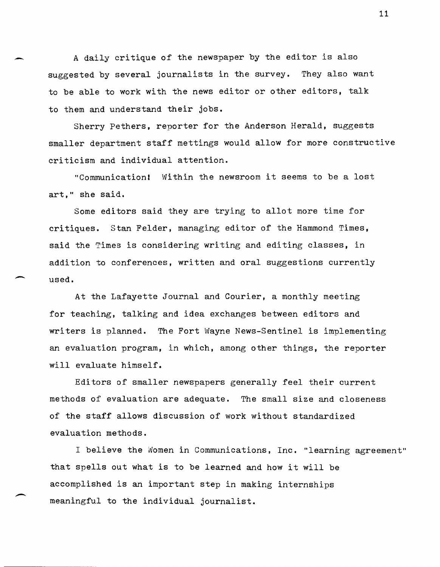A daily eritique of the newspaper by the editor is also suggested by several journalists in the survey. They also want to be able to work with the news editor or other editors, talk to them and understand their jobs.

-

 $\overline{\phantom{a}}$ 

 $\overline{\phantom{a}}$ 

Sherry Pethers, reporter for the Anderson Herald, suggests smaller department staff mettings would allow for more constructive criticism and individual attention.

"Communication! Within the newsroom it seems to be a lost art," she said.

Some editors said they are trying to allot more time for critiques. Stan Felder, managing editor of the Hammond Times, said the Times is considering writing and editing classes, in addition to conferences, written and oral suggestions currently used.

At the Lafayette Journal and Courier, a monthly meeting for teaching, talking and idea exchanges between editors and writers is planned. The Fort Wayne News-Sentinel is implementing an evaluation program, in which, among other things, the reporter will evaluate himself.

Editors of smaller newspapers generally feel their current methods of evaluation are adequate. The small size and closeness of the staff allows discussion of work without standardized evaluation methods.

I believe the Women in Communications, Inc. "learning agreement" that spells out what is to be learned and how it will be accomplished is an important step in making internships meaningful to the individual journalist.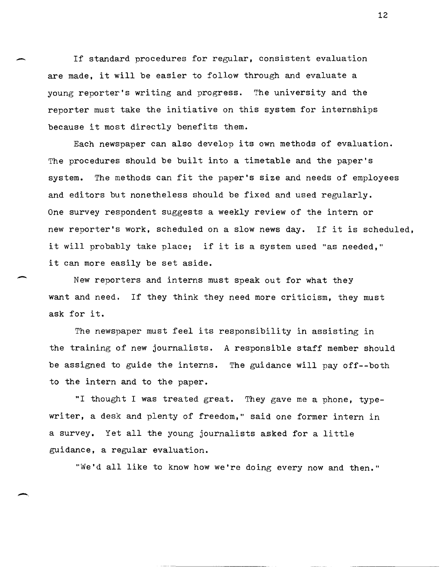If standard procedures for regular, consistent evaluation are made, it will be easier to follow through and evaluate a young reporter's writing and progress. The university and the reporter must take the initiative on this system for internships because it most directly benefits them.

Each newspaper can also develop its own methods of evaluation. The procedures should be built into a timetable and the paper's system. The methods can fit the paper's size and needs of employees and editors but nonetheless should be fixed and used regularly. One survey respondent suggests a weekly review of the intern or new reporter's work, scheduled on a slow news day. If it is scheduled, it will probably take place; if it is a system used "as needed," it can more easily be set aside.

New reporters and interns must speak out for what they want and need. If they think they need more criticism, they must ask for it.

-

-,

The newspaper must feel its responsibility in assisting in the training of new journalists. A responsible staff member should be assigned to guide the interns. The guidance will pay off--both to the intern and to the paper.

"I thought I was treated great. They gave me a phone, typewriter, a desk and plenty of freedom," said one former intern in a survey. Yet all the young journalists asked for a little guidance, a regular evaluation.

"We'd all like to know how we're doing every now and then."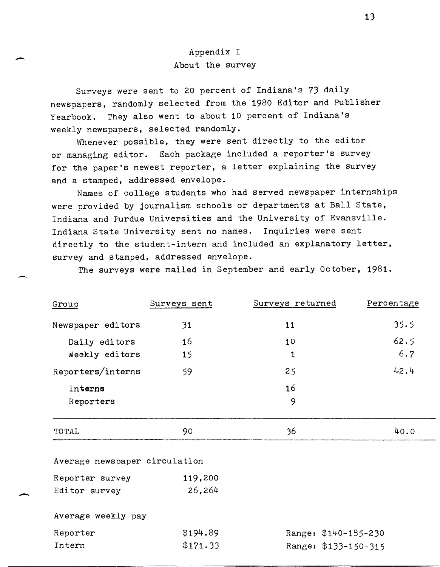# Appendix I About the survey

Surveys were sent to 20 percent of Indiana's 73 daily newspapers, randomly selected from the 1980 Editor and Publisher Yearbook. They also went to about 10 percent of Indiana's weekly newspapers, selected randomly.

Whenever possible, they were sent directly to the editor or managing editor. Each package included a reporter's survey for the paper's newest reporter, a letter explaining the survey and a stamped, addressed envelope.

Names of college students who had served newspaper internships were provided by journalism schools or departments at Ball State, Indiana and Purdue Universities and the University of Evansville. Indiana State University sent no names. Inquiries were sent directly to the student-intern and included an explanatory letter, survey and stamped, addressed envelope.

The surveys were mailed in September and early October, 1981.

| Group             | Surveys sent | Surveys returned | Percentage |
|-------------------|--------------|------------------|------------|
| Newspaper editors | 31           | 11               | 35.5       |
| Daily editors     | 16           | 10               | 62.5       |
| Weekly editors    | 15           | $\mathbf{1}$     | 6.7        |
| Reporters/interns | 59           | 25               | 42.4       |
| Interns           |              | 16               |            |
| Reporters         |              | 9                |            |
| TOTAL             | 90           | 36               | 40.0       |

Average newspaper circulation

| Reporter survey | 119,200 |
|-----------------|---------|
| Editor survey   | 26,264  |

Average weekly pay

--

--

-

| Reporter | \$194.89 | Range: \$140-185-230 |
|----------|----------|----------------------|
| Intern   | \$171.33 | Range: \$133-150-315 |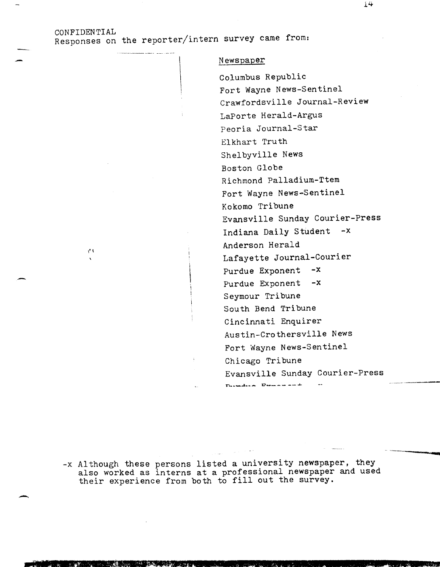## CONFIDENTIAL Responses on the reporter/intern survey came from:

1'1

#### Newspaper

Columbus Republic Fort Wayne News-Sentinel Crawfordsville Journal-Review LaPorte Herald-Argus Peoria Journal-Star Elkhart Truth Shelbyville News Boston Globe Richmond Palladium-Ttem Fort Wayne News-Sentinel Kokomo Tribune Evansville Sunday Courier-Press Indiana Daily Student -x Anderson Herald Lafayette Journal-Courier Purdue Exponent -x Purdue Exponent -x Seymour Tribune South Bend Tribune Cincinnati Enquirer Austin-Crothersville News Fort Wayne News-Sentinel Chicago Tribune Evansville Sunday Courier-Press **n..\_...l .. \_\_ D \_\_\_\_ -\_ .....**   $\sim$ 

-x Although these persons listed a university newspaper, they also worked as interns at a professional newspaper and used also worked as interns at a professional newspaper<br>their experience from both to fill out the survey.

 $14$ 

---.---~-------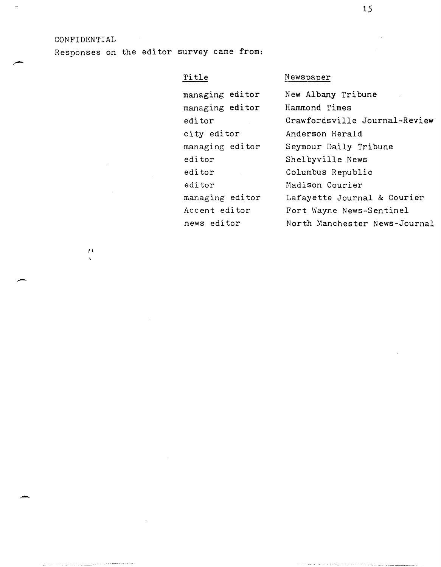#### CONFIDENTIAL

 $\bar{V}$  !

\_., "~"~ .... \_". -.... \_- --"'--~---------

.-

-

.-

Responses on the editor survey came from:

## Title

managing editor managing editor editor ci ty editor managing editor editor editor editor managing editor Accent editor news editor

## **Newspaper**

New Albany Tribune Hammond Times Crawfordsville Journal-Review Anderson Herald Seymour Daily Tribune Shelbyville News Columbus Republic Madison Courier Lafayette Journal & Courier Fort Wayne News-Sentinel North Manchester News-Journal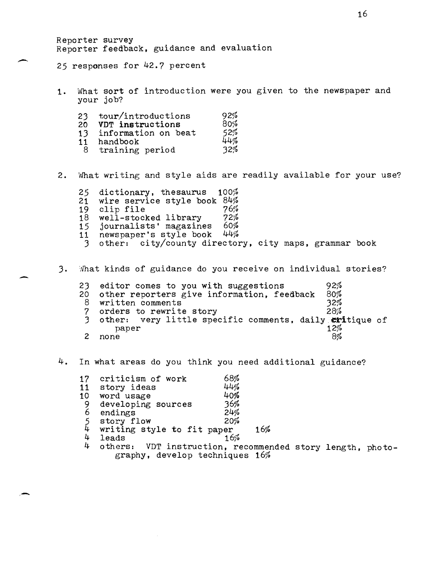Reporter survey Reporter feedback, guidance and evaluation

25 responses for 42.7 percent

-

-

1. What sort of introduction were you given to the newspaper and your job'?

| tour/introductions  | 92% |
|---------------------|-----|
| VDT instructions    | 80% |
| information on beat | 52% |
| handbook            | 44% |
| training period     | 32% |
|                     |     |

- 2. What writing and style aids are readily available for your use?
	- 25 dictionary, thesaurus 100%<br>21 wire service style book 84% 21 wire service style book 84%  $19$  clip file  $76\%$ 19 clip file 76%<br>18 well-stocked library 72%<br>15 iournalists' magazines 60% 15 journalists' magazines 60% 11 newspaper's style book 44% 1 newspaper's style book  $44\%$ <br>3 other: city/county directory, city maps, grammar book
- 3. What kinds of guidance do you receive on individual stories?

| 23 editor comes to you with suggestions                            | 92% |
|--------------------------------------------------------------------|-----|
| 20 other reporters give information, feedback                      | 80% |
| 8 written comments                                                 | 32% |
| 7 orders to rewrite story                                          | 28% |
| 3 other: very little specific comments, daily eritique of<br>paper | 12% |
| none                                                               | 8%  |

### 4. In what areas do you think you need additional guidance?

| 17            | criticism of work                    | 68% |                          |
|---------------|--------------------------------------|-----|--------------------------|
| 11            | story ideas                          | 44% |                          |
|               | 10 word usage                        | 40% |                          |
| $\frac{9}{6}$ | developing sources                   | 36% |                          |
|               | endings                              | 24% |                          |
| $\frac{5}{4}$ | story flow                           | 20% |                          |
|               | writing style to fit paper           |     | 16%                      |
| 4             | leads                                | 16% |                          |
| 4             | others: VDT instruction, recommended |     |                          |
|               |                                      |     | $\overline{\phantom{a}}$ |

d story length, photography, develop techniques 16%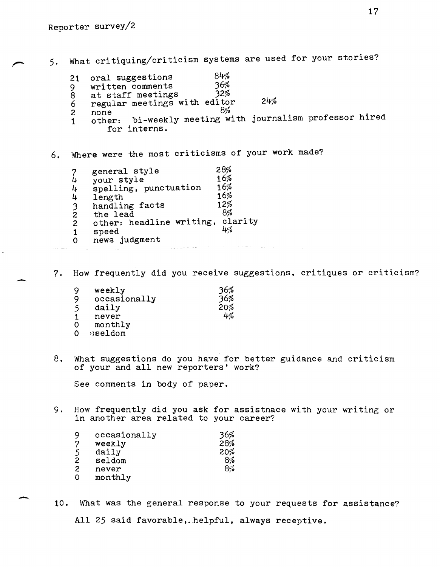5. What critiquing/criticism systems are used for your stories?

- oral suggestions written comments<br>at staff meetings 84% 36% 21 9
- 32% 8
- 24% 6 at staff meetings 32%<br>regular meetings with editor 8%
- 2 none

-

-

- 1 other: bi-weekly meeting with journalism professor hired for interns.
- 6. INhere were the most criticisms of your work made?

| general style  | 28%                                                             |
|----------------|-----------------------------------------------------------------|
|                | 16%                                                             |
|                | 16%                                                             |
| length         | 16%                                                             |
| handling facts | 12%                                                             |
| the lead       | 8%                                                              |
|                | clarity                                                         |
| speed          | 4%                                                              |
| news judgment  |                                                                 |
|                | your style<br>spelling, punctuation<br>other: headline writing, |

7. How frequently did you receive suggestions, critiques or criticism?

| 9<br>9 | weekly<br>occasionally | 36%<br>36% |
|--------|------------------------|------------|
| 5      | daily                  | 20%<br>4%  |
| 1      | never                  |            |
| 0      | monthly                |            |
| 0      | sseldom                |            |

8. What suggestions do you have for better guidance and criticism of your and all new reporters' work?

See comments in body of paper.

9. How frequently did you ask for assistnace with your writing or in another area related to your career?

| 9 | occasionally | 36% |
|---|--------------|-----|
| 7 | weekly       | 28% |
| 5 | daily        | 20% |
| 2 | seldom       | 8%  |
| 2 | never        | 8%  |
| ٥ | monthly      |     |

10. What was the general response to your requests for assistance? All 25 said favorable,. helpful, always receptive.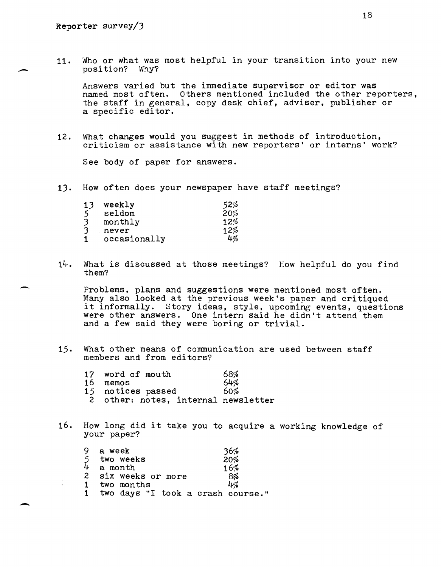-

-

11. Who or what was most helpful in your transition into your new position? Why?

Answers varied but the immediate supervisor or editor was named most often. Others mentioned included the other reporters, the staff in general, copy desk chief, adviser, publisher or a specific editor.

12. What changes would you suggest in methods of introduction, criticism or assistance with new reporters' or interns' work?

See body of paper for answers.

13. How often does your newspaper have staff meetings?

| 13 | weekly       | 52% |
|----|--------------|-----|
| 5  | seldom       | 20% |
| 3  | monthly      | 12% |
| 3  | never        | 12% |
|    | occasionally | 4%  |

14. What is discussed at those meetings? How helpful do you find them?

Problems, plans and suggestions were mentioned most often. Many also looked at the previous week's paper and critiqued it informally. Story ideas, style, upcoming events, questions were other answers. One intern said he didn't attend them and a few said they were boring or trivial.

15. What other means of communication are used between staff members and from editors?

| 17 word of mouth                    | 68% |
|-------------------------------------|-----|
| 16 memos                            | 64% |
| 15 notices passed                   | 60% |
| 2 other: notes, internal newsletter |     |

16. How long did it take you to acquire a working knowledge of your paper?

| 9 a week                            |                     |
|-------------------------------------|---------------------|
| 5 two weeks<br>4 a month            | $\frac{36\%}{20\%}$ |
|                                     | 16%                 |
| 2 six weeks or more                 | 8%                  |
| 1 two months                        | 4%                  |
| 1 two days "I took a crash course." |                     |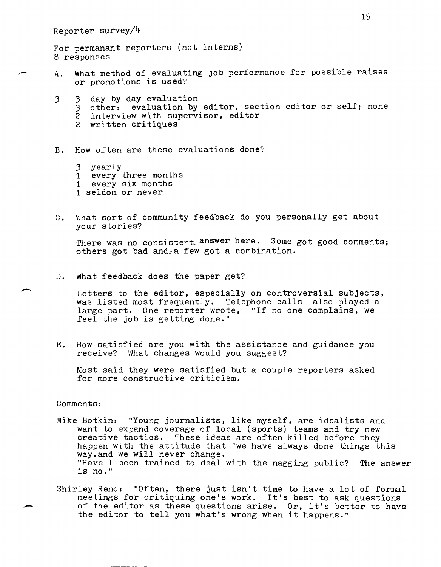For permanant reporters (not interns) 8 responses

- A. What method of evaluating job performance for possible raises or promotions is used?
	- 3 3 day by day evaluation
		- 3 other: evaluation by editor, section editor or self; none
		- 2 interview with supervisor, editor
		- <sup>2</sup>written critiques

B. How often are these evaluations done?

- 3 yearly
- 1 every three months
- <sup>1</sup>every six months
- <sup>1</sup>seldom or never
- C. What sort of community feedback do you personally get about your stories?

There was no consistent answer here. Some got good comments; others got bad and. a few got a combination.

D. What feedback does the paper get?

Letters to the editor, especially on controversial subjects, was listed most frequently. Telephone calls also played a large part. One reporter wrote, "If no one complains, we feel the job is getting done."

E. How satisfied are you with the assistance and guidance you receive? What changes would you suggest?

Most said they were satisfied but a couple reporters asked for more constructive criticism.

Comments:

-

- Mike Botkin: "Young journalists, like myself, are idealists and want to expand coverage of local (sports) teams and try new creative tactics. These ideas are often killed before they happen with the attitude that 'we have always done things this way.and we will never change. "Have I been trained to deal with the nagging public? The answer is no."
- Shirley Reno: "Often, there just isn't time to have a lot of formal meetings for critiquing one's work. It's best to ask questions of the editor as these questions arise. Or, it's better to have the editor to tell you what's wrong when it happens."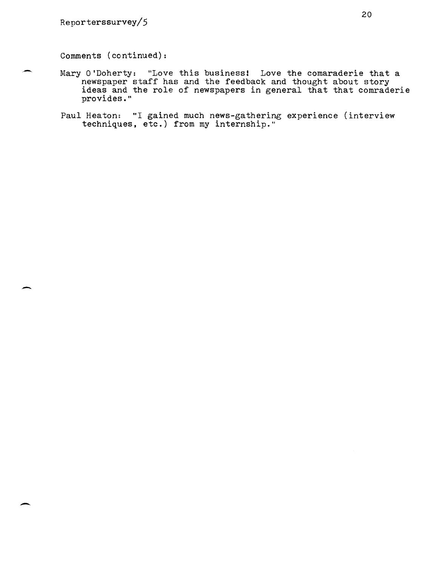$\overline{\phantom{a}}$ 

-

Comments (continued):

- Mary O'Doherty: "Love this business! Love the comaraderie that a newspaper staff has and the feedback and thought about story ideas and the role of newspapers in general that that comraderie provides."
- Paul Heaton: "I gained much news-gathering experience (interview techniques, etc.) from my internship."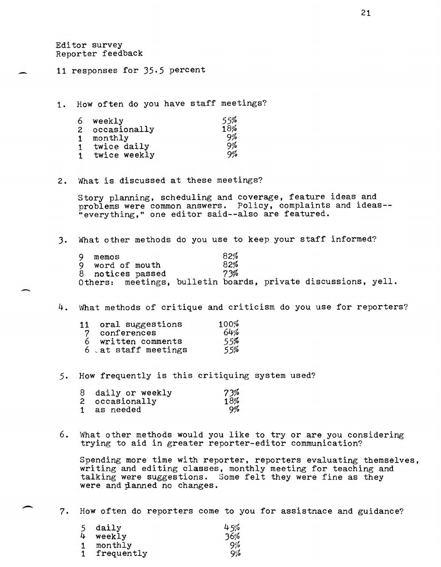Editor survey Reporter feedback

-

-

11 responses for 35.5 percent

1. How often do you have staff meetings?

| 6              | weekly       | 55% |
|----------------|--------------|-----|
| $\overline{c}$ | occasionally | 18% |
|                | monthly      | 9%  |
|                | twice daily  | 9%  |
|                | twice weekly | 9%  |

2. What is discussed at these meetings?

Story planning, scheduling and coverage, feature ideas and problems were common answers. Policy, complaints and ideas--"everything," one editor said--also are featured.

3. What other methods do you use to keep your staff informed?

| 9. | memos |                  | 82% |                                                               |  |
|----|-------|------------------|-----|---------------------------------------------------------------|--|
|    |       | 9 word of mouth  | 82% |                                                               |  |
|    |       | 8 notices passed | 73% |                                                               |  |
|    |       |                  |     | Others: meetings, bulletin boards, private discussions, yell. |  |

4. What methods of critique and criticism do you use for reporters?

|                | 11 oral suggestions | 100% |
|----------------|---------------------|------|
| $\overline{7}$ | conferences         | 64%  |
| 6.             | written comments    | 55%  |
|                | 6 at staff meetings | 55%  |

5. How frequently is this critiquing system used?

|              | 8 daily or weekly | 73% |
|--------------|-------------------|-----|
|              | 2 occasionally    | 18% |
| $\mathbf{1}$ | as needed         | 9%  |

6. What other methods would you like to try or are you considering trying to aid in greater reporter-editor communication?

Spending more time with reporter, reporters evaluating themselves, writing and editing classes, monthly meeting for teaching and talking were suggestions. Some felt they were fine as they were and planned no changes.

7. How often do reporters come to you for assistnace and guidance?

|   | daily      | 45% |
|---|------------|-----|
| 4 | weekly     | 36% |
|   | monthly    | 9%  |
|   | frequently | 9%  |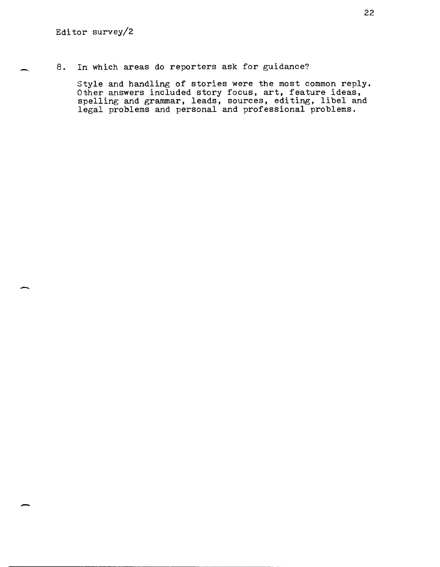-

-

-

8. In which. areas do reporters ask for guidance?

Style and handling of stories were the most common reply. Other answers included story focus, art, feature ideas. spelling and grammar, leads, sources, editing, libel and legal problems and personal and professional problems.